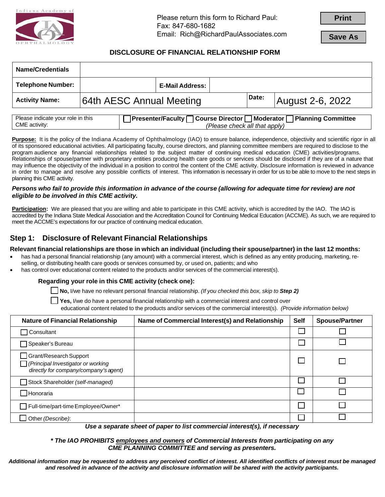

Please return this form to Richard Paul: Fax: 847-680-1682 Email: Rich@RichardPaulAssociates.com **Print**

**Save As**

### **DISCLOSURE OF FINANCIAL RELATIONSHIP FORM**

| <b>Name/Credentials</b>  |                          |                 |       |                  |
|--------------------------|--------------------------|-----------------|-------|------------------|
| <b>Telephone Number:</b> |                          | E-Mail Address: |       |                  |
| <b>Activity Name:</b>    | 64th AESC Annual Meeting |                 | Date: | August 2-6, 2022 |
|                          |                          |                 |       |                  |

| Please indicate your role in this | $\Box$ Moderator $\Box$<br>Planning Committee<br><b>T</b> Presenter/Faculty <b>T</b> Course Director T |  |  |  |  |
|-----------------------------------|--------------------------------------------------------------------------------------------------------|--|--|--|--|
| CME activity:                     | (Please check all that apply)                                                                          |  |  |  |  |

**Purpose:** It is the policy of the Indiana Academy of Ophthalmology (IAO) to ensure balance, independence, objectivity and scientific rigor in all of its sponsored educational activities. All participating faculty, course directors, and planning committee members are required to disclose to the program audience any financial relationships related to the subject matter of continuing medical education (CME) activities/programs. Relationships of spouse/partner with proprietary entities producing health care goods or services should be disclosed if they are of a nature that may influence the objectivity of the individual in a position to control the content of the CME activity. Disclosure information is reviewed in advance in order to manage and resolve any possible conflicts of interest. This information is necessary in order for us to be able to move to the next steps in planning this CME activity.

#### *Persons who fail to provide this information in advance of the course (allowing for adequate time for review) are not eligible to be involved in this CME activity.*

**Participation:** We are pleased that you are willing and able to participate in this CME activity, which is accredited by the IAO. The IAO is accredited by the Indiana State Medical Association and the Accreditation Council for Continuing Medical Education (ACCME). As such, we are required to meet the ACCME's expectations for our practice of continuing medical education.

# **Step 1: Disclosure of Relevant Financial Relationships**

**Relevant financial relationships are those in which an individual (including their spouse/partner) in the last 12 months:**

- has had a personal financial relationship (any amount) with a commercial interest, which is defined as any entity producing, marketing, reselling, or distributing health care goods or services consumed by, or used on, patients; and who
- has control over educational content related to the products and/or services of the commercial interest(s).

### **Regarding your role in this CME activity (check one):**

☐ **No,** I/we have no relevant personal financial relationship. *(If you checked this box, skip to Step 2)*

☐ **Yes,** I/we do have a personal financial relationship with a commercial interest and control over

educational content related to the products and/or services of the commercial interest(s). *(Provide information below)*

| <b>Nature of Financial Relationship</b>                                                                     | Name of Commercial Interest(s) and Relationship | <b>Self</b> | <b>Spouse/Partner</b> |
|-------------------------------------------------------------------------------------------------------------|-------------------------------------------------|-------------|-----------------------|
| Consultant                                                                                                  |                                                 |             |                       |
| ヿSpeaker's Bureau                                                                                           |                                                 |             |                       |
| $\Box$ Grant/Research Support<br>Principal Investigator or working<br>directly for company/company's agent) |                                                 | $\Box$      |                       |
| Stock Shareholder (self-managed)                                                                            |                                                 |             |                       |
| $\Box$ Honoraria                                                                                            |                                                 |             |                       |
| Full-time/part-time Employee/Owner*                                                                         |                                                 |             |                       |
| Other (Describe):                                                                                           |                                                 |             |                       |

*Use a separate sheet of paper to list commercial interest(s), if necessary* 

#### *\* The IAO PROHIBITS employees and owners of Commercial Interests from participating on any CME PLANNING COMMITTEE and serving as presenters.*

*Additional information may be requested to address any perceived conflict of interest. All identified conflicts of interest must be managed and resolved in advance of the activity and disclosure information will be shared with the activity participants.*